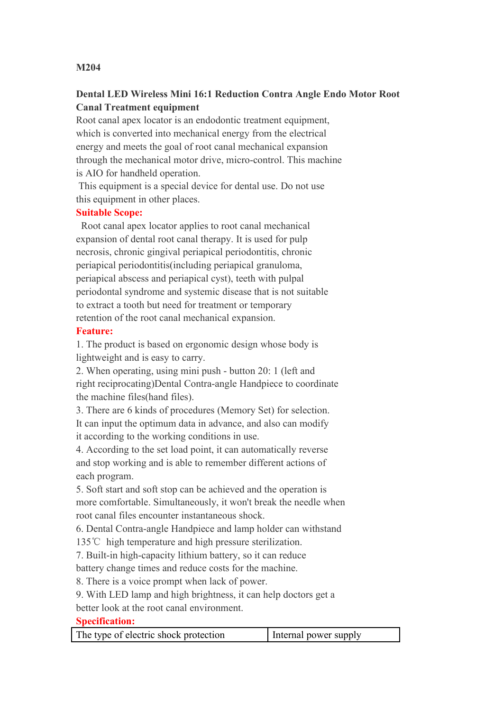## **M204**

# **Dental LED Wireless Mini 16:1 Reduction Contra Angle Endo Motor Root Canal Treatment equipment**

Root canal apex locator is an endodontic treatment equipment, which is converted into mechanical energy from the electrical energy and meets the goal of root canal mechanical expansion through the mechanical motor drive, micro-control. This machine is AIO for handheld operation.

This equipment is a special device for dental use. Do not use this equipment in other places.

#### **Suitable Scope:**

Root canal apex locator applies to root canal mechanical expansion of dental root canal therapy. It is used for pulp necrosis, chronic gingival periapical periodontitis, chronic periapical periodontitis(including periapical granuloma, periapical abscess and periapical cyst), teeth with pulpal periodontal syndrome and systemic disease that is not suitable to extract a tooth but need for treatment or temporary retention of the root canal mechanical expansion.

## **Feature:**

1. The product is based on ergonomic design whose body is lightweight and is easy to carry.

2. When operating, using mini push - button 20: 1 (left and right reciprocating)Dental Contra-angle Handpiece to coordinate the machine files(hand files).

3. There are 6 kinds of procedures (Memory Set) for selection. It can input the optimum data in advance, and also can modify it according to the working conditions in use.

4. According to the set load point, it can automatically reverse and stop working and is able to remember different actions of each program.

5. Soft start and soft stop can be achieved and the operation is more comfortable. Simultaneously, it won't break the needle when root canal files encounter instantaneous shock.

6. Dental Contra-angle Handpiece and lamp holder can withstand 135℃ high temperature and high pressure sterilization.

7. Built-in high-capacity lithium battery, so it can reduce

battery change times and reduce costs for the machine.

8. There is a voice prompt when lack of power.

9. With LED lamp and high brightness, it can help doctors get a

better look at the root canal environment.

#### **Specification:**